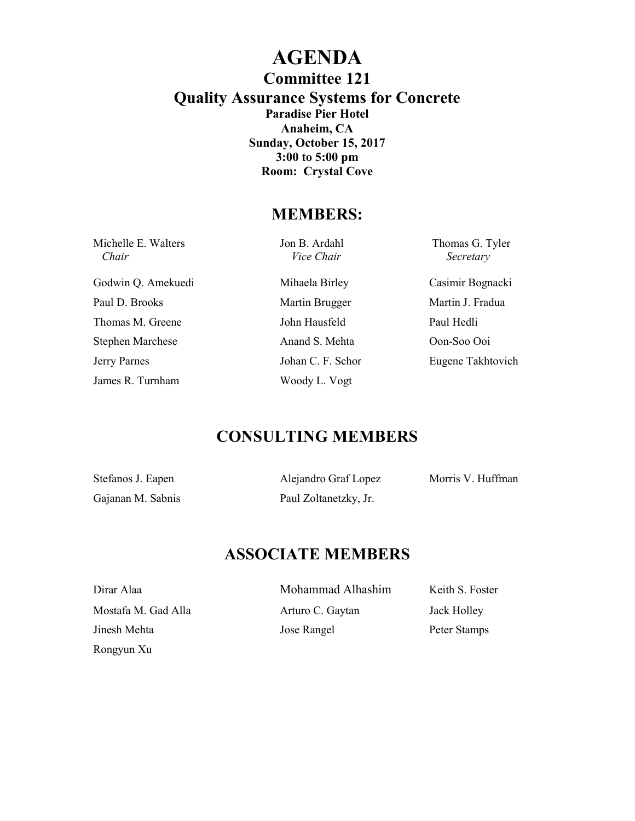### **AGENDA Committee 121 Quality Assurance Systems for Concrete Paradise Pier Hotel Anaheim, CA Sunday, October 15, 2017 3:00 to 5:00 pm Room: Crystal Cove**

### **MEMBERS:**

| Michelle E. Walters<br>Chair | Jon B. Ardahl<br><i>Vice Chair</i> | Thomas G. Tyler<br>Secretary |
|------------------------------|------------------------------------|------------------------------|
| Godwin Q. Amekuedi           | Mihaela Birley                     | Casimir Bognacki             |
| Paul D. Brooks               | Martin Brugger                     | Martin J. Fradua             |
| Thomas M. Greene             | John Hausfeld                      | Paul Hedli                   |
| <b>Stephen Marchese</b>      | Anand S. Mehta                     | Oon-Soo Ooi                  |
| Jerry Parnes                 | Johan C. F. Schor                  | Eugene Takhtovich            |
| James R. Turnham             | Woody L. Vogt                      |                              |

## **CONSULTING MEMBERS**

| Stefanos J. Eapen | Alejandro Graf Lopez  | Morris V. Huffman |
|-------------------|-----------------------|-------------------|
| Gajanan M. Sabnis | Paul Zoltanetzky, Jr. |                   |

# **ASSOCIATE MEMBERS**

Rongyun Xu

Dirar Alaa Mohammad Alhashim Keith S. Foster Mostafa M. Gad Alla Arturo C. Gaytan Jack Holley Jinesh Mehta Jose Rangel Peter Stamps